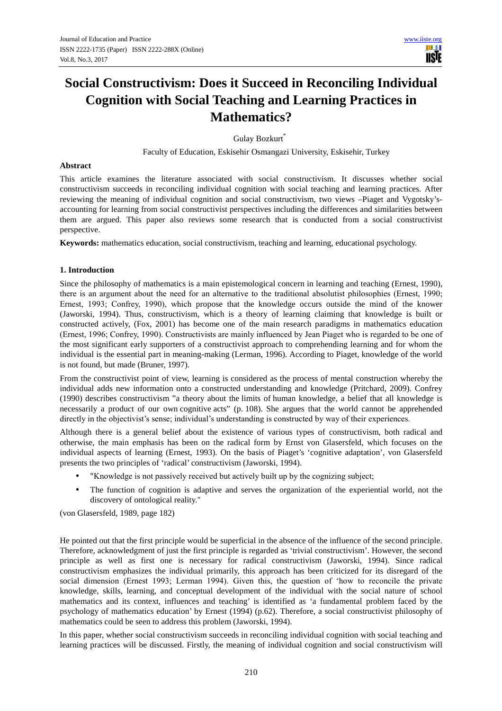**USTE** 

# **Social Constructivism: Does it Succeed in Reconciling Individual Cognition with Social Teaching and Learning Practices in Mathematics?**

Gulay Bozkurt\*

Faculty of Education, Eskisehir Osmangazi University, Eskisehir, Turkey

#### **Abstract**

This article examines the literature associated with social constructivism. It discusses whether social constructivism succeeds in reconciling individual cognition with social teaching and learning practices. After reviewing the meaning of individual cognition and social constructivism, two views –Piaget and Vygotsky'saccounting for learning from social constructivist perspectives including the differences and similarities between them are argued. This paper also reviews some research that is conducted from a social constructivist perspective.

**Keywords:** mathematics education, social constructivism, teaching and learning, educational psychology.

#### **1. Introduction**

Since the philosophy of mathematics is a main epistemological concern in learning and teaching (Ernest, 1990), there is an argument about the need for an alternative to the traditional absolutist philosophies (Ernest, 1990; Ernest, 1993; Confrey, 1990), which propose that the knowledge occurs outside the mind of the knower (Jaworski, 1994). Thus, constructivism, which is a theory of learning claiming that knowledge is built or constructed actively, (Fox, 2001) has become one of the main research paradigms in mathematics education (Ernest, 1996; Confrey, 1990). Constructivists are mainly influenced by Jean Piaget who is regarded to be one of the most significant early supporters of a constructivist approach to comprehending learning and for whom the individual is the essential part in meaning-making (Lerman, 1996). According to Piaget, knowledge of the world is not found, but made (Bruner, 1997).

From the constructivist point of view, learning is considered as the process of mental construction whereby the individual adds new information onto a constructed understanding and knowledge (Pritchard, 2009). Confrey (1990) describes constructivism "a theory about the limits of human knowledge, a belief that all knowledge is necessarily a product of our own cognitive acts" (p. 108). She argues that the world cannot be apprehended directly in the objectivist's sense; individual's understanding is constructed by way of their experiences.

Although there is a general belief about the existence of various types of constructivism, both radical and otherwise, the main emphasis has been on the radical form by Ernst von Glasersfeld, which focuses on the individual aspects of learning (Ernest, 1993). On the basis of Piaget's 'cognitive adaptation', von Glasersfeld presents the two principles of 'radical' constructivism (Jaworski, 1994).

- "Knowledge is not passively received but actively built up by the cognizing subject;
- The function of cognition is adaptive and serves the organization of the experiential world, not the discovery of ontological reality."

(von Glasersfeld, 1989, page 182)

He pointed out that the first principle would be superficial in the absence of the influence of the second principle. Therefore, acknowledgment of just the first principle is regarded as 'trivial constructivism'. However, the second principle as well as first one is necessary for radical constructivism (Jaworski, 1994). Since radical constructivism emphasizes the individual primarily, this approach has been criticized for its disregard of the social dimension (Ernest 1993; Lerman 1994). Given this, the question of 'how to reconcile the private knowledge, skills, learning, and conceptual development of the individual with the social nature of school mathematics and its context, influences and teaching' is identified as 'a fundamental problem faced by the psychology of mathematics education' by Ernest (1994) (p.62). Therefore, a social constructivist philosophy of mathematics could be seen to address this problem (Jaworski, 1994).

In this paper, whether social constructivism succeeds in reconciling individual cognition with social teaching and learning practices will be discussed. Firstly, the meaning of individual cognition and social constructivism will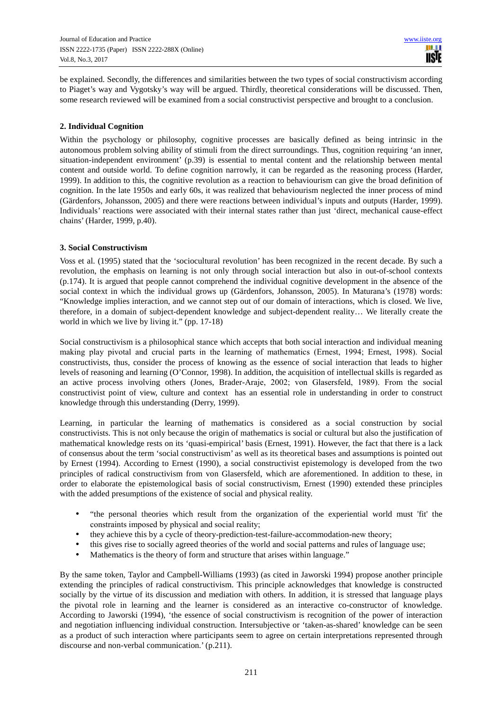be explained. Secondly, the differences and similarities between the two types of social constructivism according to Piaget's way and Vygotsky's way will be argued. Thirdly, theoretical considerations will be discussed. Then, some research reviewed will be examined from a social constructivist perspective and brought to a conclusion.

## **2. Individual Cognition**

Within the psychology or philosophy, cognitive processes are basically defined as being intrinsic in the autonomous problem solving ability of stimuli from the direct surroundings. Thus, cognition requiring 'an inner, situation-independent environment' (p.39) is essential to mental content and the relationship between mental content and outside world. To define cognition narrowly, it can be regarded as the reasoning process (Harder, 1999). In addition to this, the cognitive revolution as a reaction to behaviourism can give the broad definition of cognition. In the late 1950s and early 60s, it was realized that behaviourism neglected the inner process of mind (Gärdenfors, Johansson, 2005) and there were reactions between individual's inputs and outputs (Harder, 1999). Individuals' reactions were associated with their internal states rather than just 'direct, mechanical cause-effect chains' (Harder, 1999, p.40).

#### **3. Social Constructivism**

Voss et al. (1995) stated that the 'sociocultural revolution' has been recognized in the recent decade. By such a revolution, the emphasis on learning is not only through social interaction but also in out-of-school contexts (p.174). It is argued that people cannot comprehend the individual cognitive development in the absence of the social context in which the individual grows up (Gärdenfors, Johansson, 2005). In Maturana's (1978) words: "Knowledge implies interaction, and we cannot step out of our domain of interactions, which is closed. We live, therefore, in a domain of subject-dependent knowledge and subject-dependent reality… We literally create the world in which we live by living it." (pp. 17-18)

Social constructivism is a philosophical stance which accepts that both social interaction and individual meaning making play pivotal and crucial parts in the learning of mathematics (Ernest, 1994; Ernest, 1998). Social constructivists, thus, consider the process of knowing as the essence of social interaction that leads to higher levels of reasoning and learning (O'Connor, 1998). In addition, the acquisition of intellectual skills is regarded as an active process involving others (Jones, Brader-Araje, 2002; von Glasersfeld, 1989). From the social constructivist point of view, culture and context has an essential role in understanding in order to construct knowledge through this understanding (Derry, 1999).

Learning, in particular the learning of mathematics is considered as a social construction by social constructivists. This is not only because the origin of mathematics is social or cultural but also the justification of mathematical knowledge rests on its 'quasi-empirical' basis (Ernest, 1991). However, the fact that there is a lack of consensus about the term 'social constructivism' as well as its theoretical bases and assumptions is pointed out by Ernest (1994). According to Ernest (1990), a social constructivist epistemology is developed from the two principles of radical constructivism from von Glasersfeld, which are aforementioned. In addition to these, in order to elaborate the epistemological basis of social constructivism, Ernest (1990) extended these principles with the added presumptions of the existence of social and physical reality.

- "the personal theories which result from the organization of the experiential world must 'fit' the constraints imposed by physical and social reality;
- they achieve this by a cycle of theory-prediction-test-failure-accommodation-new theory;
- this gives rise to socially agreed theories of the world and social patterns and rules of language use;
- Mathematics is the theory of form and structure that arises within language."

By the same token, Taylor and Campbell-Williams (1993) (as cited in Jaworski 1994) propose another principle extending the principles of radical constructivism. This principle acknowledges that knowledge is constructed socially by the virtue of its discussion and mediation with others. In addition, it is stressed that language plays the pivotal role in learning and the learner is considered as an interactive co-constructor of knowledge. According to Jaworski (1994), 'the essence of social constructivism is recognition of the power of interaction and negotiation influencing individual construction. Intersubjective or 'taken-as-shared' knowledge can be seen as a product of such interaction where participants seem to agree on certain interpretations represented through discourse and non-verbal communication.' (p.211).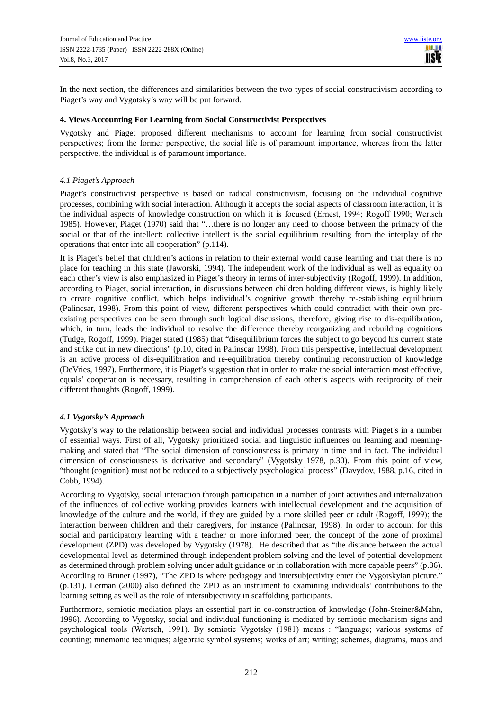In the next section, the differences and similarities between the two types of social constructivism according to Piaget's way and Vygotsky's way will be put forward.

#### **4. Views Accounting For Learning from Social Constructivist Perspectives**

Vygotsky and Piaget proposed different mechanisms to account for learning from social constructivist perspectives; from the former perspective, the social life is of paramount importance, whereas from the latter perspective, the individual is of paramount importance.

#### *4.1 Piaget's Approach*

Piaget's constructivist perspective is based on radical constructivism, focusing on the individual cognitive processes, combining with social interaction. Although it accepts the social aspects of classroom interaction, it is the individual aspects of knowledge construction on which it is focused (Ernest, 1994; Rogoff 1990; Wertsch 1985). However, Piaget (1970) said that "…there is no longer any need to choose between the primacy of the social or that of the intellect: collective intellect is the social equilibrium resulting from the interplay of the operations that enter into all cooperation" (p.114).

It is Piaget's belief that children's actions in relation to their external world cause learning and that there is no place for teaching in this state (Jaworski, 1994). The independent work of the individual as well as equality on each other's view is also emphasized in Piaget's theory in terms of inter-subjectivity (Rogoff, 1999). In addition, according to Piaget, social interaction, in discussions between children holding different views, is highly likely to create cognitive conflict, which helps individual's cognitive growth thereby re-establishing equilibrium (Palincsar, 1998). From this point of view, different perspectives which could contradict with their own preexisting perspectives can be seen through such logical discussions, therefore, giving rise to dis-equilibration, which, in turn, leads the individual to resolve the difference thereby reorganizing and rebuilding cognitions (Tudge, Rogoff, 1999). Piaget stated (1985) that "disequilibrium forces the subject to go beyond his current state and strike out in new directions" (p.10, cited in Palinscar 1998). From this perspective, intellectual development is an active process of dis-equilibration and re-equilibration thereby continuing reconstruction of knowledge (DeVries, 1997). Furthermore, it is Piaget's suggestion that in order to make the social interaction most effective, equals' cooperation is necessary, resulting in comprehension of each other's aspects with reciprocity of their different thoughts (Rogoff, 1999).

#### *4.1 Vygotsky's Approach*

Vygotsky's way to the relationship between social and individual processes contrasts with Piaget's in a number of essential ways. First of all, Vygotsky prioritized social and linguistic influences on learning and meaningmaking and stated that "The social dimension of consciousness is primary in time and in fact. The individual dimension of consciousness is derivative and secondary" (Vygotsky 1978, p.30). From this point of view, "thought (cognition) must not be reduced to a subjectively psychological process" (Davydov, 1988, p.16, cited in Cobb, 1994).

According to Vygotsky, social interaction through participation in a number of joint activities and internalization of the influences of collective working provides learners with intellectual development and the acquisition of knowledge of the culture and the world, if they are guided by a more skilled peer or adult (Rogoff, 1999); the interaction between children and their caregivers, for instance (Palincsar, 1998). In order to account for this social and participatory learning with a teacher or more informed peer, the concept of the zone of proximal development (ZPD) was developed by Vygotsky (1978). He described that as "the distance between the actual developmental level as determined through independent problem solving and the level of potential development as determined through problem solving under adult guidance or in collaboration with more capable peers" (p.86). According to Bruner (1997), "The ZPD is where pedagogy and intersubjectivity enter the Vygotskyian picture." (p.131). Lerman (2000) also defined the ZPD as an instrument to examining individuals' contributions to the learning setting as well as the role of intersubjectivity in scaffolding participants.

Furthermore, semiotic mediation plays an essential part in co-construction of knowledge (John-Steiner&Mahn, 1996). According to Vygotsky, social and individual functioning is mediated by semiotic mechanism-signs and psychological tools (Wertsch, 1991). By semiotic Vygotsky (1981) means : "language; various systems of counting; mnemonic techniques; algebraic symbol systems; works of art; writing; schemes, diagrams, maps and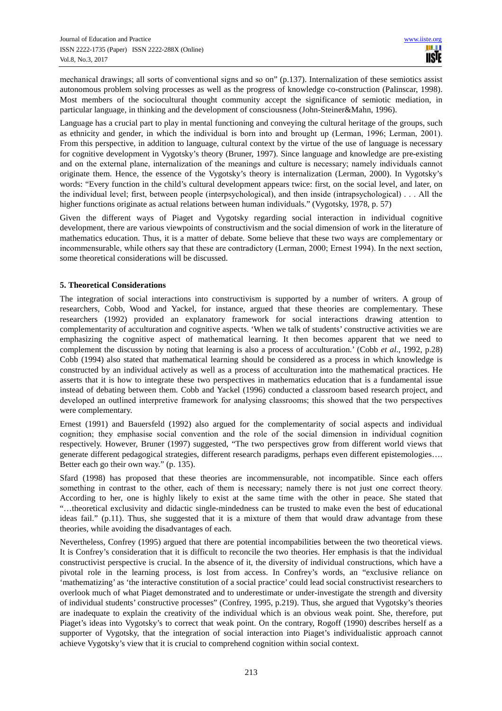mechanical drawings; all sorts of conventional signs and so on" (p.137). Internalization of these semiotics assist autonomous problem solving processes as well as the progress of knowledge co-construction (Palinscar, 1998). Most members of the sociocultural thought community accept the significance of semiotic mediation, in particular language, in thinking and the development of consciousness (John-Steiner&Mahn, 1996).

Language has a crucial part to play in mental functioning and conveying the cultural heritage of the groups, such as ethnicity and gender, in which the individual is born into and brought up (Lerman, 1996; Lerman, 2001). From this perspective, in addition to language, cultural context by the virtue of the use of language is necessary for cognitive development in Vygotsky's theory (Bruner, 1997). Since language and knowledge are pre-existing and on the external plane, internalization of the meanings and culture is necessary; namely individuals cannot originate them. Hence, the essence of the Vygotsky's theory is internalization (Lerman, 2000). In Vygotsky's words: "Every function in the child's cultural development appears twice: first, on the social level, and later, on the individual level; first, between people (interpsychological), and then inside (intrapsychological) . . . All the higher functions originate as actual relations between human individuals." (Vygotsky, 1978, p. 57)

Given the different ways of Piaget and Vygotsky regarding social interaction in individual cognitive development, there are various viewpoints of constructivism and the social dimension of work in the literature of mathematics education. Thus, it is a matter of debate. Some believe that these two ways are complementary or incommensurable, while others say that these are contradictory (Lerman, 2000; Ernest 1994). In the next section, some theoretical considerations will be discussed.

#### **5. Theoretical Considerations**

The integration of social interactions into constructivism is supported by a number of writers. A group of researchers, Cobb, Wood and Yackel, for instance, argued that these theories are complementary. These researchers (1992) provided an explanatory framework for social interactions drawing attention to complementarity of acculturation and cognitive aspects. 'When we talk of students' constructive activities we are emphasizing the cognitive aspect of mathematical learning. It then becomes apparent that we need to complement the discussion by noting that learning is also a process of acculturation.' (Cobb *et al*., 1992, p.28) Cobb (1994) also stated that mathematical learning should be considered as a process in which knowledge is constructed by an individual actively as well as a process of acculturation into the mathematical practices. He asserts that it is how to integrate these two perspectives in mathematics education that is a fundamental issue instead of debating between them. Cobb and Yackel (1996) conducted a classroom based research project, and developed an outlined interpretive framework for analysing classrooms; this showed that the two perspectives were complementary.

Ernest (1991) and Bauersfeld (1992) also argued for the complementarity of social aspects and individual cognition; they emphasise social convention and the role of the social dimension in individual cognition respectively. However, Bruner (1997) suggested, "The two perspectives grow from different world views that generate different pedagogical strategies, different research paradigms, perhaps even different epistemologies…. Better each go their own way." (p. 135).

Sfard (1998) has proposed that these theories are incommensurable, not incompatible. Since each offers something in contrast to the other, each of them is necessary; namely there is not just one correct theory. According to her, one is highly likely to exist at the same time with the other in peace. She stated that "…theoretical exclusivity and didactic single-mindedness can be trusted to make even the best of educational ideas fail." (p.11). Thus, she suggested that it is a mixture of them that would draw advantage from these theories, while avoiding the disadvantages of each.

Nevertheless, Confrey (1995) argued that there are potential incompabilities between the two theoretical views. It is Confrey's consideration that it is difficult to reconcile the two theories. Her emphasis is that the individual constructivist perspective is crucial. In the absence of it, the diversity of individual constructions, which have a pivotal role in the learning process, is lost from access. In Confrey's words, an "exclusive reliance on 'mathematizing' as 'the interactive constitution of a social practice' could lead social constructivist researchers to overlook much of what Piaget demonstrated and to underestimate or under-investigate the strength and diversity of individual students' constructive processes" (Confrey, 1995, p.219). Thus, she argued that Vygotsky's theories are inadequate to explain the creativity of the individual which is an obvious weak point. She, therefore, put Piaget's ideas into Vygotsky's to correct that weak point. On the contrary, Rogoff (1990) describes herself as a supporter of Vygotsky, that the integration of social interaction into Piaget's individualistic approach cannot achieve Vygotsky's view that it is crucial to comprehend cognition within social context.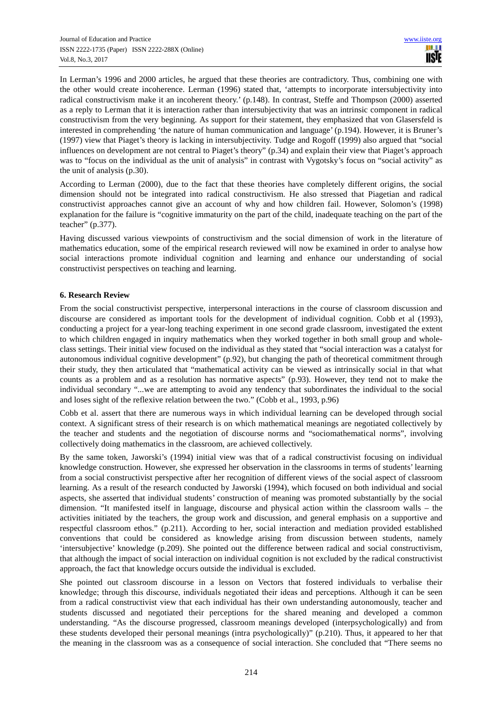In Lerman's 1996 and 2000 articles, he argued that these theories are contradictory. Thus, combining one with the other would create incoherence. Lerman (1996) stated that, 'attempts to incorporate intersubjectivity into radical constructivism make it an incoherent theory.' (p.148). In contrast, Steffe and Thompson (2000) asserted as a reply to Lerman that it is interaction rather than intersubjectivity that was an intrinsic component in radical constructivism from the very beginning. As support for their statement, they emphasized that von Glasersfeld is interested in comprehending 'the nature of human communication and language' (p.194). However, it is Bruner's (1997) view that Piaget's theory is lacking in intersubjectivity. Tudge and Rogoff (1999) also argued that "social influences on development are not central to Piaget's theory" (p.34) and explain their view that Piaget's approach was to "focus on the individual as the unit of analysis" in contrast with Vygotsky's focus on "social activity" as the unit of analysis (p.30).

According to Lerman (2000), due to the fact that these theories have completely different origins, the social dimension should not be integrated into radical constructivism. He also stressed that Piagetian and radical constructivist approaches cannot give an account of why and how children fail. However, Solomon's (1998) explanation for the failure is "cognitive immaturity on the part of the child, inadequate teaching on the part of the teacher" (p.377).

Having discussed various viewpoints of constructivism and the social dimension of work in the literature of mathematics education, some of the empirical research reviewed will now be examined in order to analyse how social interactions promote individual cognition and learning and enhance our understanding of social constructivist perspectives on teaching and learning.

## **6. Research Review**

From the social constructivist perspective, interpersonal interactions in the course of classroom discussion and discourse are considered as important tools for the development of individual cognition. Cobb et al (1993), conducting a project for a year-long teaching experiment in one second grade classroom, investigated the extent to which children engaged in inquiry mathematics when they worked together in both small group and wholeclass settings. Their initial view focused on the individual as they stated that "social interaction was a catalyst for autonomous individual cognitive development" (p.92), but changing the path of theoretical commitment through their study, they then articulated that "mathematical activity can be viewed as intrinsically social in that what counts as a problem and as a resolution has normative aspects" (p.93). However, they tend not to make the individual secondary "...we are attempting to avoid any tendency that subordinates the individual to the social and loses sight of the reflexive relation between the two." (Cobb et al., 1993, p.96)

Cobb et al. assert that there are numerous ways in which individual learning can be developed through social context. A significant stress of their research is on which mathematical meanings are negotiated collectively by the teacher and students and the negotiation of discourse norms and "sociomathematical norms", involving collectively doing mathematics in the classroom, are achieved collectively.

By the same token, Jaworski's (1994) initial view was that of a radical constructivist focusing on individual knowledge construction. However, she expressed her observation in the classrooms in terms of students' learning from a social constructivist perspective after her recognition of different views of the social aspect of classroom learning. As a result of the research conducted by Jaworski (1994), which focused on both individual and social aspects, she asserted that individual students' construction of meaning was promoted substantially by the social dimension. "It manifested itself in language, discourse and physical action within the classroom walls – the activities initiated by the teachers, the group work and discussion, and general emphasis on a supportive and respectful classroom ethos." (p.211). According to her, social interaction and mediation provided established conventions that could be considered as knowledge arising from discussion between students, namely 'intersubjective' knowledge (p.209). She pointed out the difference between radical and social constructivism, that although the impact of social interaction on individual cognition is not excluded by the radical constructivist approach, the fact that knowledge occurs outside the individual is excluded.

She pointed out classroom discourse in a lesson on Vectors that fostered individuals to verbalise their knowledge; through this discourse, individuals negotiated their ideas and perceptions. Although it can be seen from a radical constructivist view that each individual has their own understanding autonomously, teacher and students discussed and negotiated their perceptions for the shared meaning and developed a common understanding. "As the discourse progressed, classroom meanings developed (interpsychologically) and from these students developed their personal meanings (intra psychologically)" (p.210). Thus, it appeared to her that the meaning in the classroom was as a consequence of social interaction. She concluded that "There seems no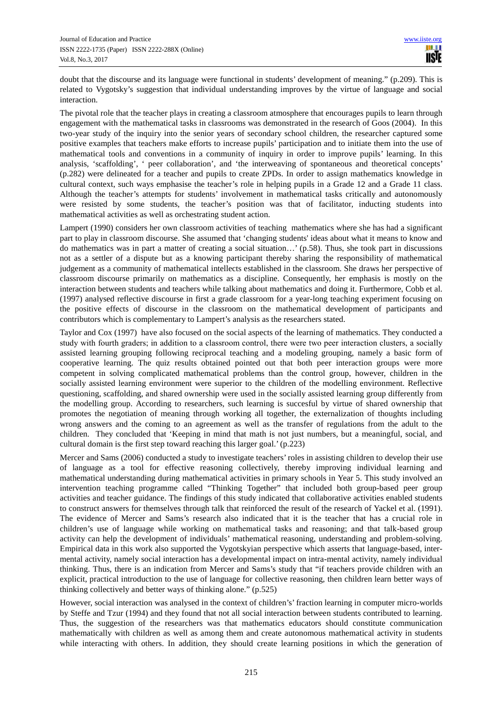doubt that the discourse and its language were functional in students' development of meaning." (p.209). This is related to Vygotsky's suggestion that individual understanding improves by the virtue of language and social interaction.

The pivotal role that the teacher plays in creating a classroom atmosphere that encourages pupils to learn through engagement with the mathematical tasks in classrooms was demonstrated in the research of Goos (2004). In this two-year study of the inquiry into the senior years of secondary school children, the researcher captured some positive examples that teachers make efforts to increase pupils' participation and to initiate them into the use of mathematical tools and conventions in a community of inquiry in order to improve pupils' learning. In this analysis, 'scaffolding', ' peer collaboration', and 'the interweaving of spontaneous and theoretical concepts' (p.282) were delineated for a teacher and pupils to create ZPDs. In order to assign mathematics knowledge in cultural context, such ways emphasise the teacher's role in helping pupils in a Grade 12 and a Grade 11 class. Although the teacher's attempts for students' involvement in mathematical tasks critically and autonomously were resisted by some students, the teacher's position was that of facilitator, inducting students into mathematical activities as well as orchestrating student action.

Lampert (1990) considers her own classroom activities of teaching mathematics where she has had a significant part to play in classroom discourse. She assumed that 'changing students' ideas about what it means to know and do mathematics was in part a matter of creating a social situation…' (p.58). Thus, she took part in discussions not as a settler of a dispute but as a knowing participant thereby sharing the responsibility of mathematical judgement as a community of mathematical intellects established in the classroom. She draws her perspective of classroom discourse primarily on mathematics as a discipline. Consequently, her emphasis is mostly on the interaction between students and teachers while talking about mathematics and doing it. Furthermore, Cobb et al. (1997) analysed reflective discourse in first a grade classroom for a year-long teaching experiment focusing on the positive effects of discourse in the classroom on the mathematical development of participants and contributors which is complementary to Lampert's analysis as the researchers stated.

Taylor and Cox (1997) have also focused on the social aspects of the learning of mathematics. They conducted a study with fourth graders; in addition to a classroom control, there were two peer interaction clusters, a socially assisted learning grouping following reciprocal teaching and a modeling grouping, namely a basic form of cooperative learning. The quiz results obtained pointed out that both peer interaction groups were more competent in solving complicated mathematical problems than the control group, however, children in the socially assisted learning environment were superior to the children of the modelling environment. Reflective questioning, scaffolding, and shared ownership were used in the socially assisted learning group differently from the modelling group. According to researchers, such learning is succesful by virtue of shared ownership that promotes the negotiation of meaning through working all together, the externalization of thoughts including wrong answers and the coming to an agreement as well as the transfer of regulations from the adult to the children. They concluded that 'Keeping in mind that math is not just numbers, but a meaningful, social, and cultural domain is the first step toward reaching this larger goal.' (p.223)

Mercer and Sams (2006) conducted a study to investigate teachers' roles in assisting children to develop their use of language as a tool for effective reasoning collectively, thereby improving individual learning and mathematical understanding during mathematical activities in primary schools in Year 5. This study involved an intervention teaching programme called "Thinking Together" that included both group-based peer group activities and teacher guidance. The findings of this study indicated that collaborative activities enabled students to construct answers for themselves through talk that reinforced the result of the research of Yackel et al. (1991). The evidence of Mercer and Sams's research also indicated that it is the teacher that has a crucial role in children's use of language while working on mathematical tasks and reasoning; and that talk-based group activity can help the development of individuals' mathematical reasoning, understanding and problem-solving. Empirical data in this work also supported the Vygotskyian perspective which asserts that language-based, intermental activity, namely social interaction has a developmental impact on intra-mental activity, namely individual thinking. Thus, there is an indication from Mercer and Sams's study that "if teachers provide children with an explicit, practical introduction to the use of language for collective reasoning, then children learn better ways of thinking collectively and better ways of thinking alone." (p.525)

However, social interaction was analysed in the context of children's' fraction learning in computer micro-worlds by Steffe and Tzur (1994) and they found that not all social interaction between students contributed to learning. Thus, the suggestion of the researchers was that mathematics educators should constitute communication mathematically with children as well as among them and create autonomous mathematical activity in students while interacting with others. In addition, they should create learning positions in which the generation of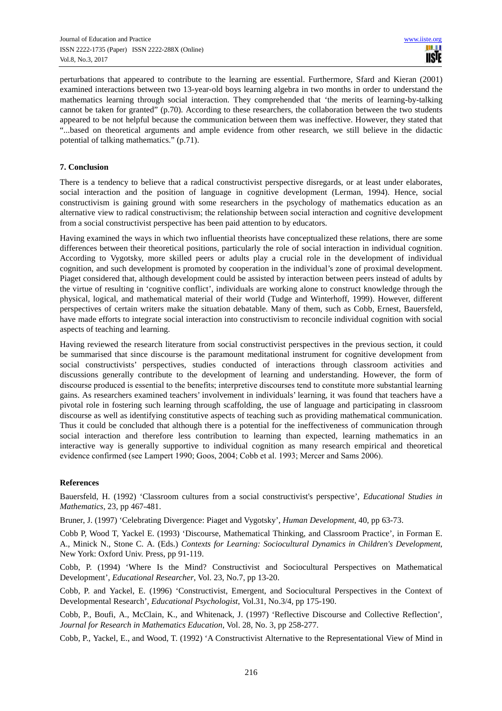perturbations that appeared to contribute to the learning are essential. Furthermore, Sfard and Kieran (2001) examined interactions between two 13-year-old boys learning algebra in two months in order to understand the mathematics learning through social interaction. They comprehended that 'the merits of learning-by-talking cannot be taken for granted" (p.70). According to these researchers, the collaboration between the two students appeared to be not helpful because the communication between them was ineffective. However, they stated that "...based on theoretical arguments and ample evidence from other research, we still believe in the didactic potential of talking mathematics." (p.71).

### **7. Conclusion**

There is a tendency to believe that a radical constructivist perspective disregards, or at least under elaborates, social interaction and the position of language in cognitive development (Lerman, 1994). Hence, social constructivism is gaining ground with some researchers in the psychology of mathematics education as an alternative view to radical constructivism; the relationship between social interaction and cognitive development from a social constructivist perspective has been paid attention to by educators.

Having examined the ways in which two influential theorists have conceptualized these relations, there are some differences between their theoretical positions, particularly the role of social interaction in individual cognition. According to Vygotsky, more skilled peers or adults play a crucial role in the development of individual cognition, and such development is promoted by cooperation in the individual's zone of proximal development. Piaget considered that, although development could be assisted by interaction between peers instead of adults by the virtue of resulting in 'cognitive conflict', individuals are working alone to construct knowledge through the physical, logical, and mathematical material of their world (Tudge and Winterhoff, 1999). However, different perspectives of certain writers make the situation debatable. Many of them, such as Cobb, Ernest, Bauersfeld, have made efforts to integrate social interaction into constructivism to reconcile individual cognition with social aspects of teaching and learning.

Having reviewed the research literature from social constructivist perspectives in the previous section, it could be summarised that since discourse is the paramount meditational instrument for cognitive development from social constructivists' perspectives, studies conducted of interactions through classroom activities and discussions generally contribute to the development of learning and understanding. However, the form of discourse produced is essential to the benefits; interpretive discourses tend to constitute more substantial learning gains. As researchers examined teachers' involvement in individuals' learning, it was found that teachers have a pivotal role in fostering such learning through scaffolding, the use of language and participating in classroom discourse as well as identifying constitutive aspects of teaching such as providing mathematical communication. Thus it could be concluded that although there is a potential for the ineffectiveness of communication through social interaction and therefore less contribution to learning than expected, learning mathematics in an interactive way is generally supportive to individual cognition as many research empirical and theoretical evidence confirmed (see Lampert 1990; Goos, 2004; Cobb et al. 1993; Mercer and Sams 2006).

#### **References**

Bauersfeld, H. (1992) 'Classroom cultures from a social constructivist's perspective', *Educational Studies in Mathematics*, 23, pp 467-481.

Bruner, J. (1997) 'Celebrating Divergence: Piaget and Vygotsky', *Human Development*, 40, pp 63-73.

Cobb P, Wood T, Yackel E. (1993) 'Discourse, Mathematical Thinking, and Classroom Practice', in Forman E. A., Minick N., Stone C. A. (Eds.) *Contexts for Learning: Sociocultural Dynamics in Children's Development*, New York: Oxford Univ. Press, pp 91-119.

Cobb, P. (1994) 'Where Is the Mind? Constructivist and Sociocultural Perspectives on Mathematical Development', *Educational Researcher*, Vol. 23, No.7, pp 13-20.

Cobb, P. and Yackel, E. (1996) 'Constructivist, Emergent, and Sociocultural Perspectives in the Context of Developmental Research', *Educational Psychologist*, Vol.31, No.3/4, pp 175-190.

Cobb, P., Boufi, A., McClain, K., and Whitenack, J. (1997) 'Reflective Discourse and Collective Reflection', *Journal for Research in Mathematics Education*, Vol. 28, No. 3, pp 258-277.

Cobb, P., Yackel, E., and Wood, T. (1992) 'A Constructivist Alternative to the Representational View of Mind in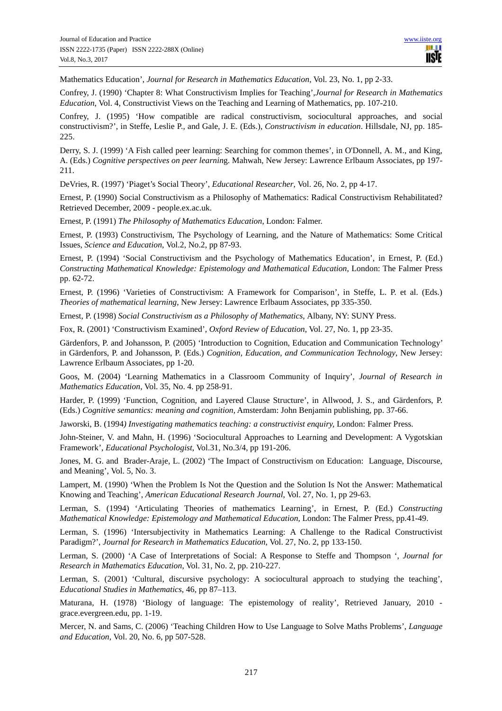Mathematics Education', *Journal for Research in Mathematics Education*, Vol. 23, No. 1, pp 2-33.

Confrey, J. (1990) 'Chapter 8: What Constructivism Implies for Teaching',*Journal for Research in Mathematics Education*, Vol. 4, Constructivist Views on the Teaching and Learning of Mathematics, pp. 107-210.

Confrey, J. (1995) 'How compatible are radical constructivism, sociocultural approaches, and social constructivism?', in Steffe, Leslie P., and Gale, J. E. (Eds.), *Constructivism in education*. Hillsdale, NJ, pp. 185- 225.

Derry, S. J. (1999) 'A Fish called peer learning: Searching for common themes', in O'Donnell, A. M., and King, A. (Eds.) *Cognitive perspectives on peer learnin*g. Mahwah, New Jersey: Lawrence Erlbaum Associates, pp 197- 211.

DeVries, R. (1997) 'Piaget's Social Theory', *Educational Researcher*, Vol. 26, No. 2, pp 4-17.

Ernest, P. (1990) Social Constructivism as a Philosophy of Mathematics: Radical Constructivism Rehabilitated? Retrieved December, 2009 - people.ex.ac.uk.

Ernest, P. (1991) *The Philosophy of Mathematics Education*, London: Falmer.

Ernest, P. (1993) Constructivism, The Psychology of Learning, and the Nature of Mathematics: Some Critical Issues, *Science and Education*, Vol.2, No.2, pp 87-93.

Ernest, P. (1994) 'Social Constructivism and the Psychology of Mathematics Education', in Ernest, P. (Ed.) *Constructing Mathematical Knowledge: Epistemology and Mathematical Education*, London: The Falmer Press pp. 62-72.

Ernest, P. (1996) 'Varieties of Constructivism: A Framework for Comparison', in Steffe, L. P. et al. (Eds.) *Theories of mathematical learning*, New Jersey: Lawrence Erlbaum Associates, pp 335-350.

Ernest, P. (1998) *Social Constructivism as a Philosophy of Mathematics,* Albany, NY: SUNY Press.

Fox, R. (2001) 'Constructivism Examined', *Oxford Review of Education*, Vol. 27, No. 1, pp 23-35.

Gärdenfors, P. and Johansson, P. (2005) 'Introduction to Cognition, Education and Communication Technology' in Gärdenfors, P. and Johansson, P. (Eds.) *Cognition, Education, and Communication Technology*, New Jersey: Lawrence Erlbaum Associates, pp 1-20.

Goos, M. (2004) 'Learning Mathematics in a Classroom Community of Inquiry', *Journal of Research in Mathematics Education*, Vol. 35, No. 4. pp 258-91.

Harder, P. (1999) 'Function, Cognition, and Layered Clause Structure', in Allwood, J. S., and Gärdenfors, P. (Eds.) *Cognitive semantics: meaning and cognition*, Amsterdam: John Benjamin publishing, pp. 37-66.

Jaworski, B. (1994*) Investigating mathematics teaching: a constructivist enquiry,* London: Falmer Press.

John-Steiner, V. and Mahn, H. (1996) 'Sociocultural Approaches to Learning and Development: A Vygotskian Framework', *Educational Psychologist*, Vol.31, No.3/4, pp 191-206.

Jones, M. G. and Brader-Araje, L. (2002) 'The Impact of Constructivism on Education: Language, Discourse, and Meaning', Vol. 5, No. 3.

Lampert, M. (1990) 'When the Problem Is Not the Question and the Solution Is Not the Answer: Mathematical Knowing and Teaching', *American Educational Research Journal*, Vol. 27, No. 1, pp 29-63.

Lerman, S. (1994) 'Articulating Theories of mathematics Learning', in Ernest, P. (Ed.) *Constructing Mathematical Knowledge: Epistemology and Mathematical Education*, London: The Falmer Press, pp.41-49.

Lerman, S. (1996) 'Intersubjectivity in Mathematics Learning: A Challenge to the Radical Constructivist Paradigm?', *Journal for Research in Mathematics Education*, Vol. 27, No. 2, pp 133-150.

Lerman, S. (2000) 'A Case of Interpretations of Social: A Response to Steffe and Thompson ', *Journal for Research in Mathematics Education*, Vol. 31, No. 2, pp. 210-227.

Lerman, S. (2001) 'Cultural, discursive psychology: A sociocultural approach to studying the teaching', *Educational Studies in Mathematics*, 46, pp 87–113.

Maturana, H. (1978) 'Biology of language: The epistemology of reality', Retrieved January, 2010 grace.evergreen.edu, pp. 1-19.

Mercer, N. and Sams, C. (2006) 'Teaching Children How to Use Language to Solve Maths Problems', *Language and Education*, Vol. 20, No. 6, pp 507-528.